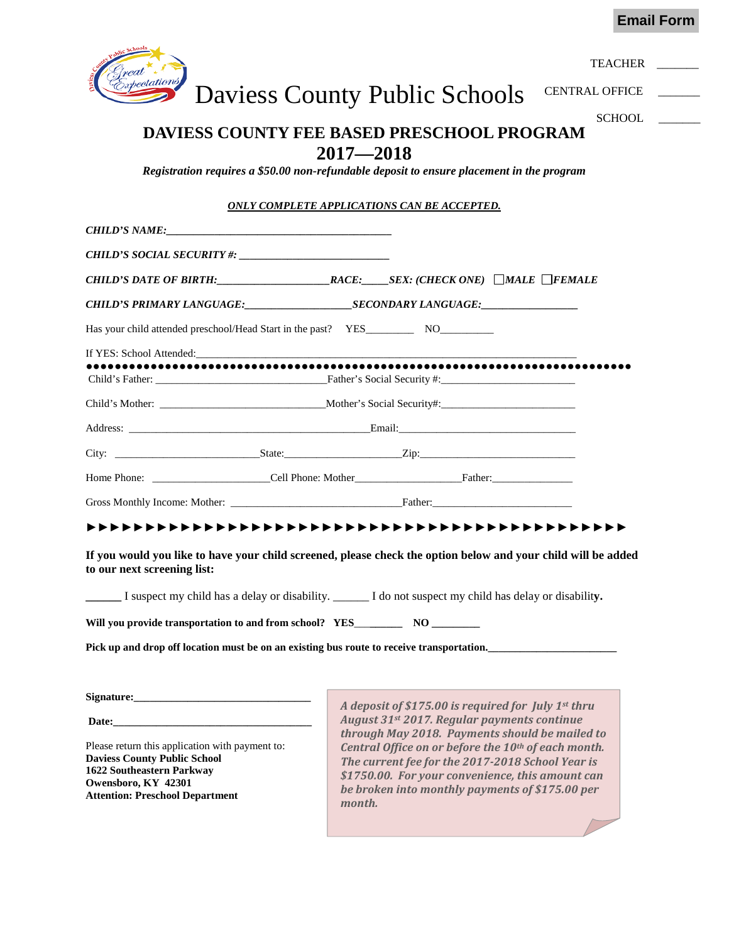**Email Form**



# **DAVIESS COUNTY FEE BASED PRESCHOOL PROGRAM 2017—2018**

*Registration requires a \$50.00 non-refundable deposit to ensure placement in the program*

### *ONLY COMPLETE APPLICATIONS CAN BE ACCEPTED.*

|                                                 | CHILD'S DATE OF BIRTH: $RACE:$ SEX: (CHECK ONE) MALE FEMALE                                                   |
|-------------------------------------------------|---------------------------------------------------------------------------------------------------------------|
|                                                 |                                                                                                               |
|                                                 |                                                                                                               |
|                                                 |                                                                                                               |
|                                                 |                                                                                                               |
|                                                 |                                                                                                               |
|                                                 |                                                                                                               |
|                                                 |                                                                                                               |
|                                                 |                                                                                                               |
|                                                 |                                                                                                               |
|                                                 |                                                                                                               |
| to our next screening list:                     | If you would you like to have your child screened, please check the option below and your child will be added |
|                                                 | I suspect my child has a delay or disability. _______ I do not suspect my child has delay or disability.      |
|                                                 |                                                                                                               |
|                                                 | Pick up and drop off location must be on an existing bus route to receive transportation.                     |
|                                                 |                                                                                                               |
|                                                 |                                                                                                               |
|                                                 | A deposit of \$175.00 is required for July 1st thru<br>August 31st 2017. Regular payments continue            |
| Please return this application with payment to: | through May 2018. Payments should be mailed to<br>Central Office on or before the 10th of each month.         |

**Daviess County Public School 1622 Southeastern Parkway Owensboro, KY 42301 Attention: Preschool Department** *The current fee for the 2017-2018 School Year is \$1750.00. For your convenience, this amount can be broken into monthly payments of \$175.00 per month.*